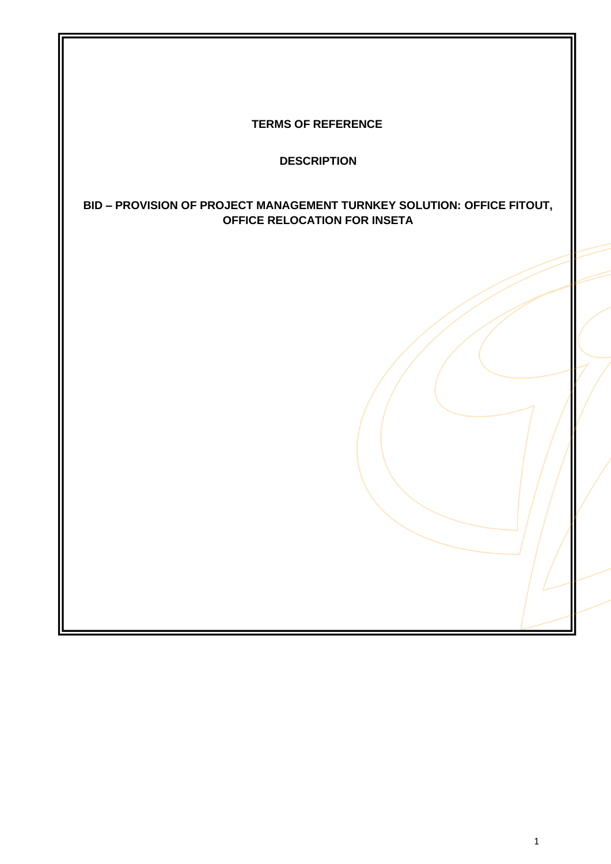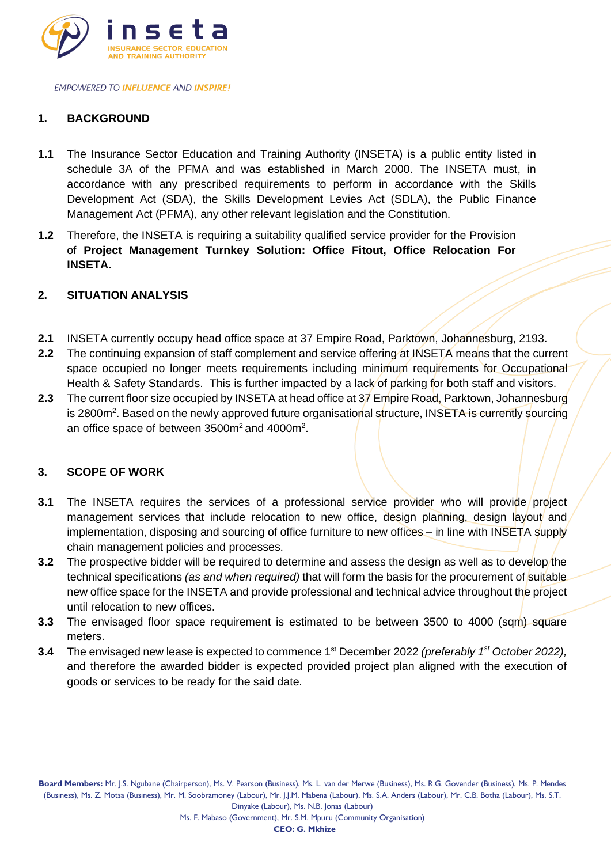

### **1. BACKGROUND**

- **1.1** The Insurance Sector Education and Training Authority (INSETA) is a public entity listed in schedule 3A of the PFMA and was established in March 2000. The INSETA must, in accordance with any prescribed requirements to perform in accordance with the Skills Development Act (SDA), the Skills Development Levies Act (SDLA), the Public Finance Management Act (PFMA), any other relevant legislation and the Constitution.
- **1.2** Therefore, the INSETA is requiring a suitability qualified service provider for the Provision of **Project Management Turnkey Solution: Office Fitout, Office Relocation For INSETA.**

### **2. SITUATION ANALYSIS**

- **2.1** INSETA currently occupy head office space at 37 Empire Road, Parktown, Johannesburg, 2193.
- 2.2 The continuing expansion of staff complement and service offering at INSETA means that the current space occupied no longer meets requirements including minimum requirements for Occupational Health & Safety Standards. This is further impacted by a lack of parking for both staff and visitors.
- **2.3** The current floor size occupied by INSETA at head office at 37 Empire Road, Parktown, Johannesburg is 2800m<sup>2</sup>. Based on the newly approved future organisational structure, INSETA is currently sourcing an office space of between 3500 $m^2$  and 4000 $m^2$ .

### **3. SCOPE OF WORK**

- **3.1** The INSETA requires the services of a professional service provider who will provide project management services that include relocation to new office, design planning, design layout and implementation, disposing and sourcing of office furniture to new offices – in line with INSETA supply chain management policies and processes.
- **3.2** The prospective bidder will be required to determine and assess the design as well as to develop the technical specifications *(as and when required)* that will form the basis for the procurement of suitable new office space for the INSETA and provide professional and technical advice throughout the project until relocation to new offices.
- **3.3** The envisaged floor space requirement is estimated to be between 3500 to 4000 (sqm) square meters.
- **3.4** The envisaged new lease is expected to commence 1st December 2022 *(preferably 1 st October 2022),* and therefore the awarded bidder is expected provided project plan aligned with the execution of goods or services to be ready for the said date.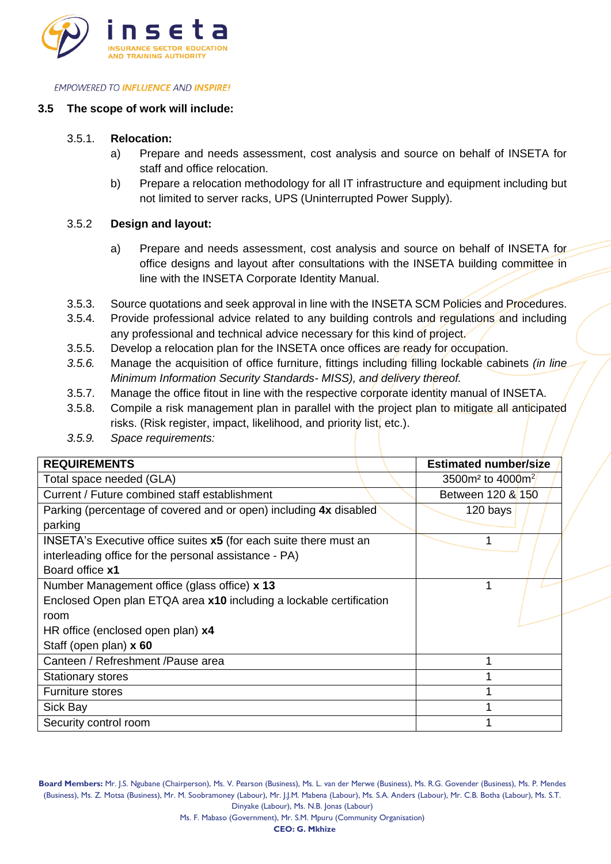

### **3.5 The scope of work will include:**

### 3.5.1. **Relocation:**

- a) Prepare and needs assessment, cost analysis and source on behalf of INSETA for staff and office relocation.
- b) Prepare a relocation methodology for all IT infrastructure and equipment including but not limited to server racks, UPS (Uninterrupted Power Supply).

### 3.5.2 **Design and layout:**

- a) Prepare and needs assessment, cost analysis and source on behalf of INSETA for office designs and layout after consultations with the INSETA building committee in line with the INSETA Corporate Identity Manual.
- 3.5.3. Source quotations and seek approval in line with the INSETA SCM Policies and Procedures.
- 3.5.4. Provide professional advice related to any building controls and regulations and including any professional and technical advice necessary for this kind of project.
- 3.5.5. Develop a relocation plan for the INSETA once offices are ready for occupation.
- *3.5.6.* Manage the acquisition of office furniture, fittings including filling lockable cabinets *(in line Minimum Information Security Standards- MISS), and delivery thereof.*
- 3.5.7. Manage the office fitout in line with the respective corporate identity manual of INSETA.
- 3.5.8. Compile a risk management plan in parallel with the project plan to mitigate all anticipated risks. (Risk register, impact, likelihood, and priority list, etc.).
- *3.5.9. Space requirements:*

| <b>REQUIREMENTS</b>                                                 |  |  | <b>Estimated number/size</b> |
|---------------------------------------------------------------------|--|--|------------------------------|
| Total space needed (GLA)                                            |  |  | 3500 $m2$ to 4000 $m2$       |
| Current / Future combined staff establishment                       |  |  | Between 120 & 150            |
| Parking (percentage of covered and or open) including 4x disabled   |  |  | 120 bays                     |
| parking                                                             |  |  |                              |
| INSETA's Executive office suites x5 (for each suite there must an   |  |  |                              |
| interleading office for the personal assistance - PA)               |  |  |                              |
| Board office x1                                                     |  |  |                              |
| Number Management office (glass office) x 13                        |  |  |                              |
| Enclosed Open plan ETQA area x10 including a lockable certification |  |  |                              |
| room                                                                |  |  |                              |
| HR office (enclosed open plan) x4                                   |  |  |                              |
| Staff (open plan) x 60                                              |  |  |                              |
| Canteen / Refreshment / Pause area                                  |  |  |                              |
| <b>Stationary stores</b>                                            |  |  |                              |
| <b>Furniture stores</b>                                             |  |  |                              |
| Sick Bay                                                            |  |  |                              |
| Security control room                                               |  |  |                              |

**Board Members:** Mr. J.S. Ngubane (Chairperson), Ms. V. Pearson (Business), Ms. L. van der Merwe (Business), Ms. R.G. Govender (Business), Ms. P. Mendes (Business), Ms. Z. Motsa (Business), Mr. M. Soobramoney (Labour), Mr. J.J.M. Mabena (Labour), Ms. S.A. Anders (Labour), Mr. C.B. Botha (Labour), Ms. S.T. Dinyake (Labour), Ms. N.B. Jonas (Labour)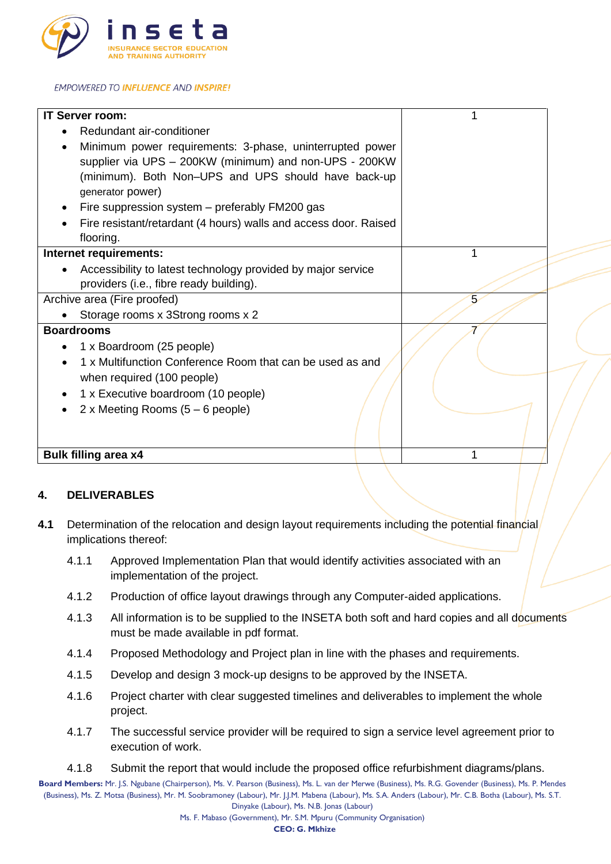

| <b>IT Server room:</b>                                           |   |
|------------------------------------------------------------------|---|
| Redundant air-conditioner                                        |   |
| Minimum power requirements: 3-phase, uninterrupted power         |   |
| supplier via UPS - 200KW (minimum) and non-UPS - 200KW           |   |
| (minimum). Both Non-UPS and UPS should have back-up              |   |
| generator power)                                                 |   |
| Fire suppression system - preferably FM200 gas                   |   |
| Fire resistant/retardant (4 hours) walls and access door. Raised |   |
| flooring.                                                        |   |
| Internet requirements:                                           | 1 |
| Accessibility to latest technology provided by major service     |   |
| providers (i.e., fibre ready building).                          |   |
| Archive area (Fire proofed)                                      | 5 |
| Storage rooms x 3Strong rooms x 2                                |   |
| <b>Boardrooms</b>                                                |   |
| 1 x Boardroom (25 people)                                        |   |
| 1 x Multifunction Conference Room that can be used as and        |   |
| when required (100 people)                                       |   |
| 1 x Executive boardroom (10 people)                              |   |
| 2 x Meeting Rooms $(5 - 6$ people)                               |   |
|                                                                  |   |
|                                                                  |   |
| <b>Bulk filling area x4</b>                                      |   |

### **4. DELIVERABLES**

- **4.1** Determination of the relocation and design layout requirements including the potential financial implications thereof:
	- 4.1.1 Approved Implementation Plan that would identify activities associated with an implementation of the project.
	- 4.1.2 Production of office layout drawings through any Computer-aided applications.
	- 4.1.3 All information is to be supplied to the INSETA both soft and hard copies and all documents must be made available in pdf format.
	- 4.1.4 Proposed Methodology and Project plan in line with the phases and requirements.
	- 4.1.5 Develop and design 3 mock-up designs to be approved by the INSETA.
	- 4.1.6 Project charter with clear suggested timelines and deliverables to implement the whole project.
	- 4.1.7 The successful service provider will be required to sign a service level agreement prior to execution of work.
	- 4.1.8 Submit the report that would include the proposed office refurbishment diagrams/plans.

**Board Members:** Mr. J.S. Ngubane (Chairperson), Ms. V. Pearson (Business), Ms. L. van der Merwe (Business), Ms. R.G. Govender (Business), Ms. P. Mendes (Business), Ms. Z. Motsa (Business), Mr. M. Soobramoney (Labour), Mr. J.J.M. Mabena (Labour), Ms. S.A. Anders (Labour), Mr. C.B. Botha (Labour), Ms. S.T. Dinyake (Labour), Ms. N.B. Jonas (Labour)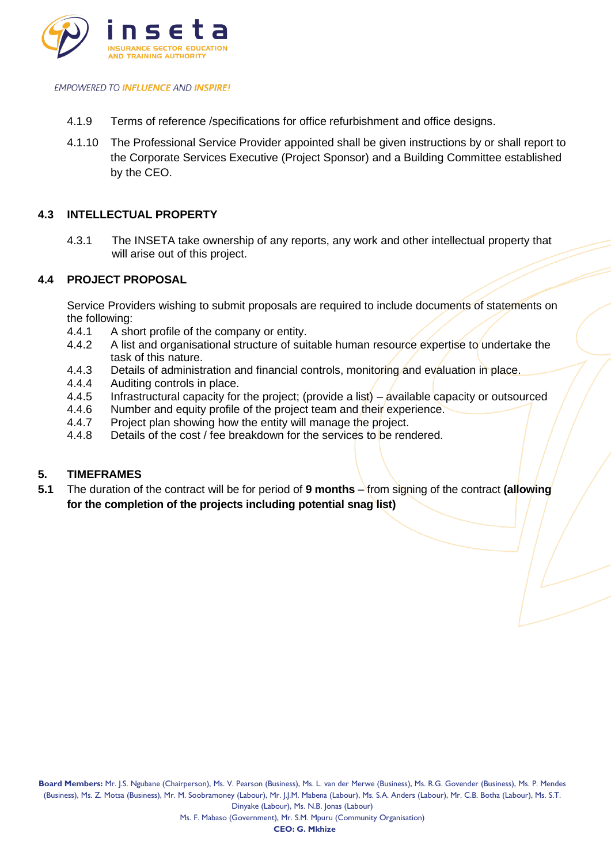

- 4.1.9 Terms of reference /specifications for office refurbishment and office designs.
- 4.1.10 The Professional Service Provider appointed shall be given instructions by or shall report to the Corporate Services Executive (Project Sponsor) and a Building Committee established by the CEO.

### **4.3 INTELLECTUAL PROPERTY**

4.3.1 The INSETA take ownership of any reports, any work and other intellectual property that will arise out of this project.

### **4.4 PROJECT PROPOSAL**

Service Providers wishing to submit proposals are required to include documents of statements on the following:

- 4.4.1 A short profile of the company or entity.<br>4.4.2 A list and organisational structure of suit
- 4.4.2 A list and organisational structure of suitable human resource expertise to undertake the task of this nature.
- 4.4.3 Details of administration and financial controls, monitoring and evaluation in place.
- 4.4.4 Auditing controls in place.<br>4.4.5 Infrastructural capacity for
- Infrastructural capacity for the project; (provide a list) available capacity or outsourced
- 4.4.6 Number and equity profile of the project team and their experience.
- 4.4.7 Project plan showing how the entity will manage the project.
- 4.4.8 Details of the cost / fee breakdown for the services to be rendered.

### **5. TIMEFRAMES**

**5.1** The duration of the contract will be for period of **9 months** – from signing of the contract **(allowing for the completion of the projects including potential snag list)**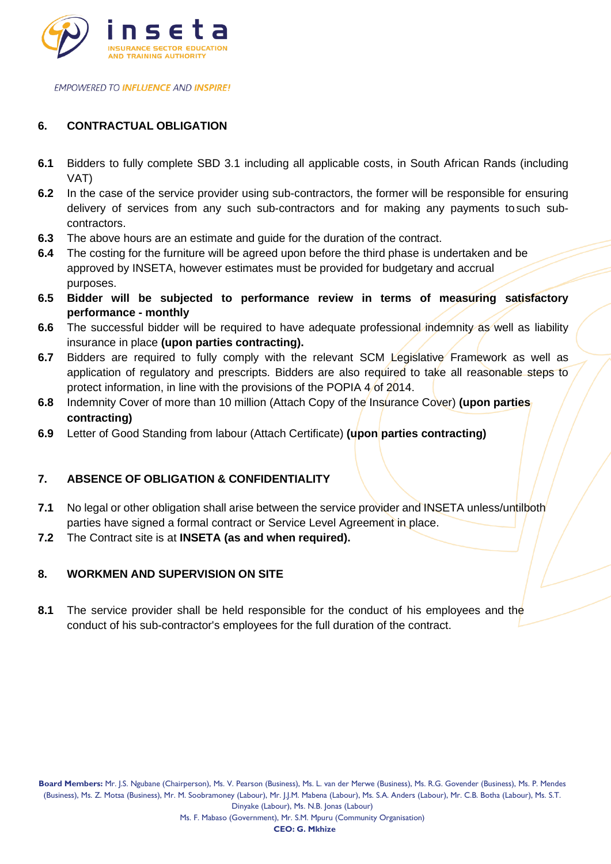

# **6. CONTRACTUAL OBLIGATION**

- **6.1** Bidders to fully complete SBD 3.1 including all applicable costs, in South African Rands (including VAT)
- **6.2** In the case of the service provider using sub-contractors, the former will be responsible for ensuring delivery of services from any such sub-contractors and for making any payments to such subcontractors.
- **6.3** The above hours are an estimate and guide for the duration of the contract.
- **6.4** The costing for the furniture will be agreed upon before the third phase is undertaken and be approved by INSETA, however estimates must be provided for budgetary and accrual purposes.
- **6.5 Bidder will be subjected to performance review in terms of measuring satisfactory performance - monthly**
- **6.6** The successful bidder will be required to have adequate professional indemnity as well as liability insurance in place **(upon parties contracting).**
- **6.7** Bidders are required to fully comply with the relevant SCM Legislative Framework as well as application of regulatory and prescripts. Bidders are also required to take all reasonable steps to protect information, in line with the provisions of the POPIA 4/of 2014.
- **6.8** Indemnity Cover of more than 10 million (Attach Copy of the Insurance Cover) **(upon parties contracting)**
- **6.9** Letter of Good Standing from labour (Attach Certificate) **(upon parties contracting)**

### **7. ABSENCE OF OBLIGATION & CONFIDENTIALITY**

- **7.1** No legal or other obligation shall arise between the service provider and INSETA unless/untilboth parties have signed a formal contract or Service Level Agreement in place.
- **7.2** The Contract site is at **INSETA (as and when required).**

### **8. WORKMEN AND SUPERVISION ON SITE**

**8.1** The service provider shall be held responsible for the conduct of his employees and the conduct of his sub-contractor's employees for the full duration of the contract.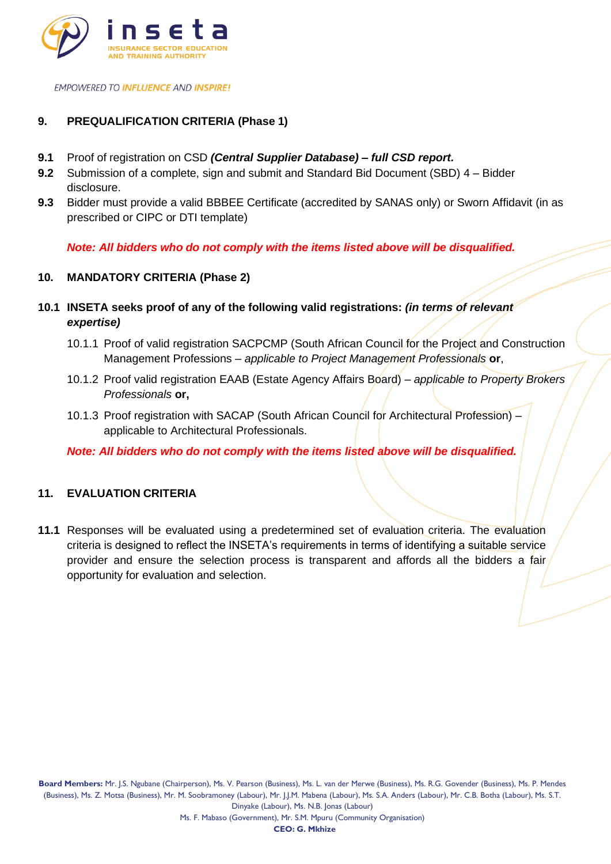

## **9. PREQUALIFICATION CRITERIA (Phase 1)**

- **9.1** Proof of registration on CSD *(Central Supplier Database) – full CSD report.*
- **9.2** Submission of a complete, sign and submit and Standard Bid Document (SBD) 4 Bidder disclosure.
- **9.3** Bidder must provide a valid BBBEE Certificate (accredited by SANAS only) or Sworn Affidavit (in as prescribed or CIPC or DTI template)

*Note: All bidders who do not comply with the items listed above will be disqualified.*

### **10. MANDATORY CRITERIA (Phase 2)**

- **10.1 INSETA seeks proof of any of the following valid registrations:** *(in terms of relevant expertise)*
	- 10.1.1 Proof of valid registration SACPCMP (South African Council for the Project and Construction Management Professions *– applicable to Project Management Professionals* **or**,
	- 10.1.2 Proof valid registration EAAB (Estate Agency Affairs Board) *– applicable to Property Brokers Professionals* **or,**
	- 10.1.3 Proof registration with SACAP (South African Council for Architectural Profession) applicable to Architectural Professionals.

*Note: All bidders who do not comply with the items listed above will be disqualified.*

### **11. EVALUATION CRITERIA**

**11.1** Responses will be evaluated using a predetermined set of evaluation criteria. The evaluation criteria is designed to reflect the INSETA's requirements in terms of identifying a suitable service provider and ensure the selection process is transparent and affords all the bidders a fair opportunity for evaluation and selection.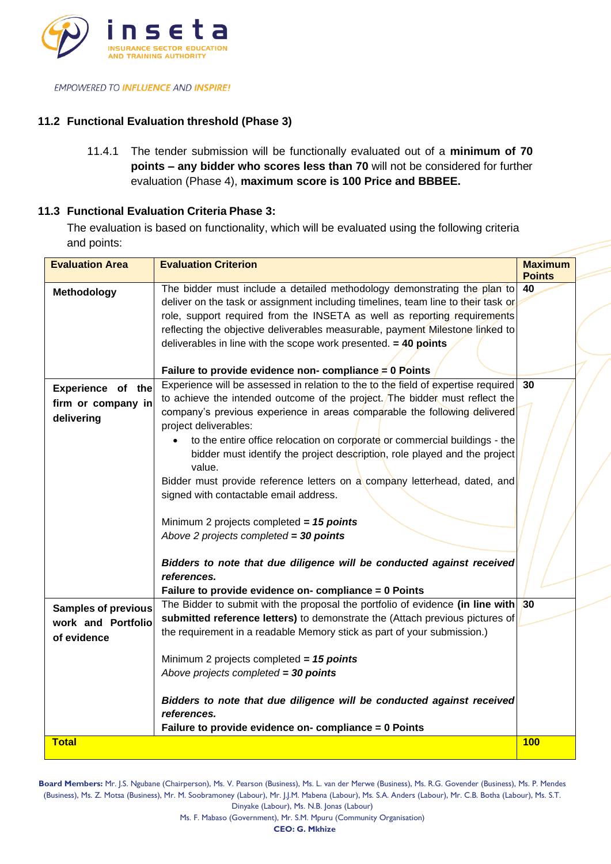

## **11.2 Functional Evaluation threshold (Phase 3)**

11.4.1 The tender submission will be functionally evaluated out of a **minimum of 70 points – any bidder who scores less than 70** will not be considered for further evaluation (Phase 4), **maximum score is 100 Price and BBBEE.**

### **11.3 Functional Evaluation Criteria Phase 3:**

The evaluation is based on functionality, which will be evaluated using the following criteria and points:

| <b>Evaluation Area</b>                                          | <b>Evaluation Criterion</b>                                                                                                                                                                                                                                                                                                                                                                                                                                                                                                                                                                                                                                                                                                                                                                                   | <b>Maximum</b><br><b>Points</b> |
|-----------------------------------------------------------------|---------------------------------------------------------------------------------------------------------------------------------------------------------------------------------------------------------------------------------------------------------------------------------------------------------------------------------------------------------------------------------------------------------------------------------------------------------------------------------------------------------------------------------------------------------------------------------------------------------------------------------------------------------------------------------------------------------------------------------------------------------------------------------------------------------------|---------------------------------|
| Methodology                                                     | The bidder must include a detailed methodology demonstrating the plan to<br>deliver on the task or assignment including timelines, team line to their task or<br>role, support required from the INSETA as well as reporting requirements<br>reflecting the objective deliverables measurable, payment Milestone linked to<br>deliverables in line with the scope work presented. $=$ 40 points<br>Failure to provide evidence non- compliance $\neq 0$ Points                                                                                                                                                                                                                                                                                                                                                | 40                              |
| Experience of the<br>firm or company in<br>delivering           | Experience will be assessed in relation to the to the field of expertise required<br>to achieve the intended outcome of the project. The bidder must reflect the<br>company's previous experience in areas comparable the following delivered<br>project deliverables:<br>to the entire office relocation on corporate or commercial buildings - the<br>bidder must identify the project description, role played and the project<br>value.<br>Bidder must provide reference letters on a company letterhead, dated, and<br>signed with contactable email address.<br>Minimum 2 projects completed = $15$ points<br>Above 2 projects completed = $30$ points<br>Bidders to note that due diligence will be conducted against received<br>references.<br>Failure to provide evidence on- compliance = 0 Points | 30                              |
| <b>Samples of previous</b><br>work and Portfolio<br>of evidence | The Bidder to submit with the proposal the portfolio of evidence (in line with $ 30 $<br>submitted reference letters) to demonstrate the (Attach previous pictures of<br>the requirement in a readable Memory stick as part of your submission.)<br>Minimum 2 projects completed = $15$ points<br>Above projects completed = 30 points<br>Bidders to note that due diligence will be conducted against received<br>references.<br>Failure to provide evidence on- compliance = 0 Points                                                                                                                                                                                                                                                                                                                       |                                 |
| <b>Total</b>                                                    |                                                                                                                                                                                                                                                                                                                                                                                                                                                                                                                                                                                                                                                                                                                                                                                                               | <b>100</b>                      |

**Board Members:** Mr. J.S. Ngubane (Chairperson), Ms. V. Pearson (Business), Ms. L. van der Merwe (Business), Ms. R.G. Govender (Business), Ms. P. Mendes (Business), Ms. Z. Motsa (Business), Mr. M. Soobramoney (Labour), Mr. J.J.M. Mabena (Labour), Ms. S.A. Anders (Labour), Mr. C.B. Botha (Labour), Ms. S.T. Dinyake (Labour), Ms. N.B. Jonas (Labour)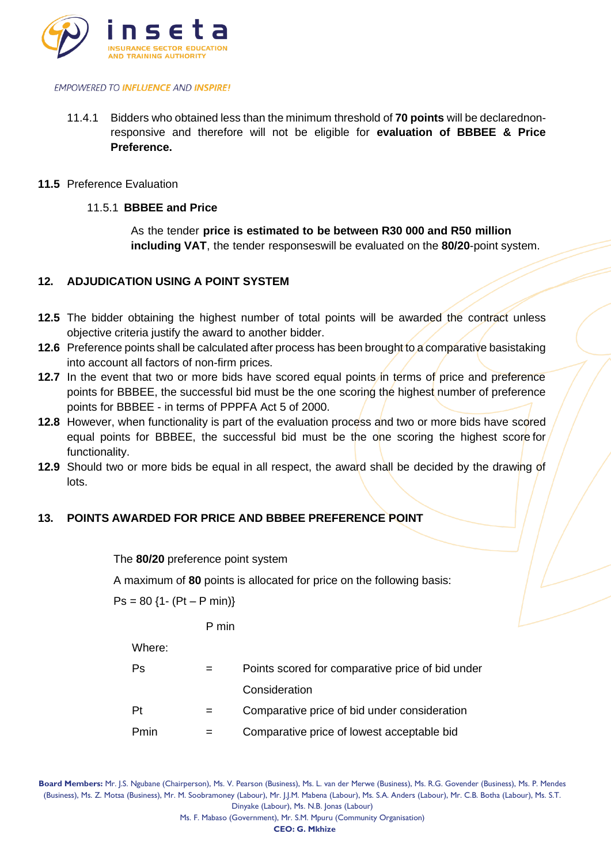

- 11.4.1 Bidders who obtained less than the minimum threshold of **70 points** will be declarednonresponsive and therefore will not be eligible for **evaluation of BBBEE & Price Preference.**
- **11.5** Preference Evaluation

## 11.5.1 **BBBEE and Price**

As the tender **price is estimated to be between R30 000 and R50 million including VAT**, the tender responseswill be evaluated on the **80/20**-point system.

## **12. ADJUDICATION USING A POINT SYSTEM**

- **12.5** The bidder obtaining the highest number of total points will be awarded the contract unless objective criteria justify the award to another bidder.
- **12.6** Preference points shall be calculated after process has been brought to a comparative basistaking into account all factors of non-firm prices.
- **12.7** In the event that two or more bids have scored equal points in terms of price and preference points for BBBEE, the successful bid must be the one scoring the highest number of preference points for BBBEE - in terms of PPPFA Act 5 of 2000.
- **12.8** However, when functionality is part of the evaluation process and two or more bids have scored equal points for BBBEE, the successful bid must be the one scoring the highest score for functionality.
- **12.9** Should two or more bids be equal in all respect, the award shall be decided by the drawing of lots.

# **13. POINTS AWARDED FOR PRICE AND BBBEE PREFERENCE POINT**

### The **80/20** preference point system

A maximum of **80** points is allocated for price on the following basis:

 $Ps = 80$  {1- (Pt – P min)}

P min

Where:

| Ps   | Points scored for comparative price of bid under |
|------|--------------------------------------------------|
|      | Consideration                                    |
| Pt.  | Comparative price of bid under consideration     |
| Pmin | Comparative price of lowest acceptable bid       |

**Board Members:** Mr. J.S. Ngubane (Chairperson), Ms. V. Pearson (Business), Ms. L. van der Merwe (Business), Ms. R.G. Govender (Business), Ms. P. Mendes (Business), Ms. Z. Motsa (Business), Mr. M. Soobramoney (Labour), Mr. J.J.M. Mabena (Labour), Ms. S.A. Anders (Labour), Mr. C.B. Botha (Labour), Ms. S.T. Dinyake (Labour), Ms. N.B. Jonas (Labour)

**CEO: G. Mkhize**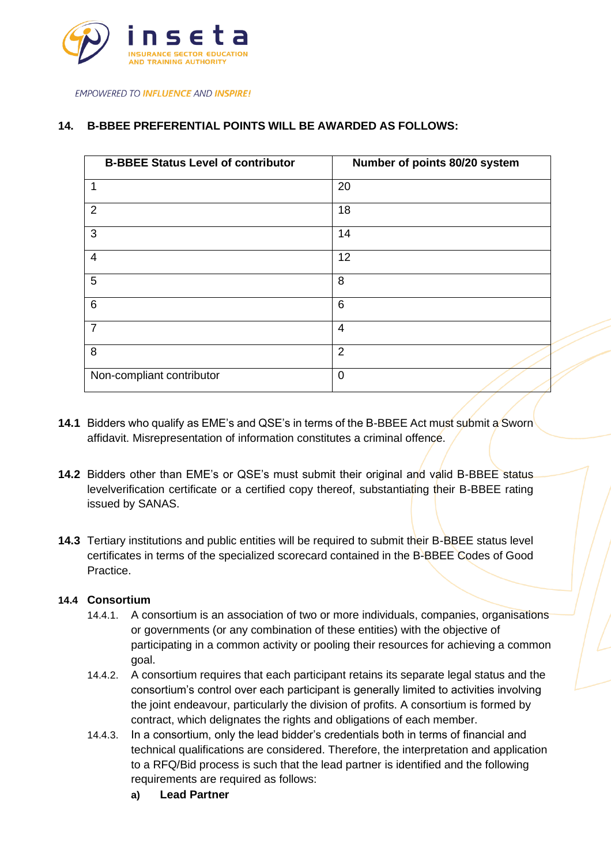

## **14. B-BBEE PREFERENTIAL POINTS WILL BE AWARDED AS FOLLOWS:**

| <b>B-BBEE Status Level of contributor</b> | Number of points 80/20 system |
|-------------------------------------------|-------------------------------|
| $\mathbf{1}$                              | 20                            |
| 2                                         | 18                            |
| 3                                         | 14                            |
| 4                                         | 12                            |
| 5                                         | 8                             |
| $6\phantom{1}6$                           | 6                             |
| $\overline{7}$                            | $\overline{4}$                |
| 8                                         | $\overline{2}$                |
| Non-compliant contributor                 | 0                             |

- **14.1** Bidders who qualify as EME's and QSE's in terms of the B-BBEE Act must submit a Sworn affidavit. Misrepresentation of information constitutes a criminal offence.
- **14.2** Bidders other than EME's or QSE's must submit their original and valid B-BBEE status levelverification certificate or a certified copy thereof, substantiating their B-BBEE rating issued by SANAS.
- **14.3** Tertiary institutions and public entities will be required to submit their B-BBEE status level certificates in terms of the specialized scorecard contained in the B-BBEE Codes of Good Practice.

### **14.4 Consortium**

- 14.4.1. A consortium is an association of two or more individuals, companies, organisations or governments (or any combination of these entities) with the objective of participating in a common activity or pooling their resources for achieving a common goal.
- 14.4.2. A consortium requires that each participant retains its separate legal status and the consortium's control over each participant is generally limited to activities involving the joint endeavour, particularly the division of profits. A consortium is formed by contract, which delignates the rights and obligations of each member.
- 14.4.3. In a consortium, only the lead bidder's credentials both in terms of financial and technical qualifications are considered. Therefore, the interpretation and application to a RFQ/Bid process is such that the lead partner is identified and the following requirements are required as follows:
	- **a) Lead Partner**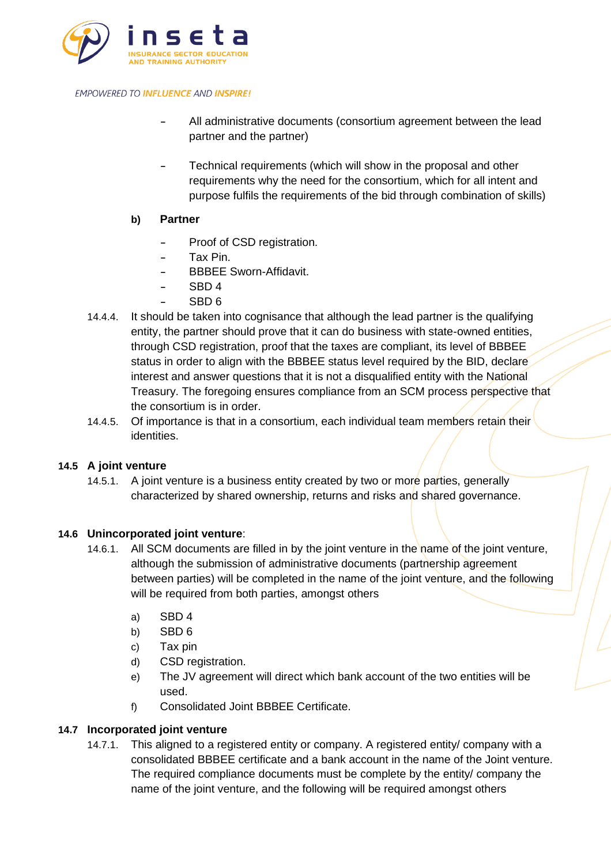

- **-** All administrative documents (consortium agreement between the lead partner and the partner)
- **-** Technical requirements (which will show in the proposal and other requirements why the need for the consortium, which for all intent and purpose fulfils the requirements of the bid through combination of skills)
- **b) Partner**
	- **-** Proof of CSD registration.
	- **-** Tax Pin.
	- **-** BBBEE Sworn-Affidavit.
	- **-** SBD 4
	- **-** SBD 6
- 14.4.4. It should be taken into cognisance that although the lead partner is the qualifying entity, the partner should prove that it can do business with state-owned entities, through CSD registration, proof that the taxes are compliant, its level of BBBEE status in order to align with the BBBEE status level required by the BID, declare interest and answer questions that it is not a disqualified entity with the National Treasury. The foregoing ensures compliance from an SCM process perspective that the consortium is in order.
- 14.4.5. Of importance is that in a consortium, each individual team members retain their identities.

### **14.5 A joint venture**

14.5.1. A joint venture is a business entity created by two or more parties, generally characterized by shared ownership, returns and risks and shared governance.

### **14.6 Unincorporated joint venture**:

- 14.6.1. All SCM documents are filled in by the joint venture in the name of the joint venture, although the submission of administrative documents (partnership agreement between parties) will be completed in the name of the joint venture, and the following will be required from both parties, amongst others
	- a) SBD 4
	- b) SBD 6
	- c) Tax pin
	- d) CSD registration.
	- e) The JV agreement will direct which bank account of the two entities will be used.
	- f) Consolidated Joint BBBEE Certificate.

# **14.7 Incorporated joint venture**

14.7.1. This aligned to a registered entity or company. A registered entity/ company with a consolidated BBBEE certificate and a bank account in the name of the Joint venture. The required compliance documents must be complete by the entity/ company the name of the joint venture, and the following will be required amongst others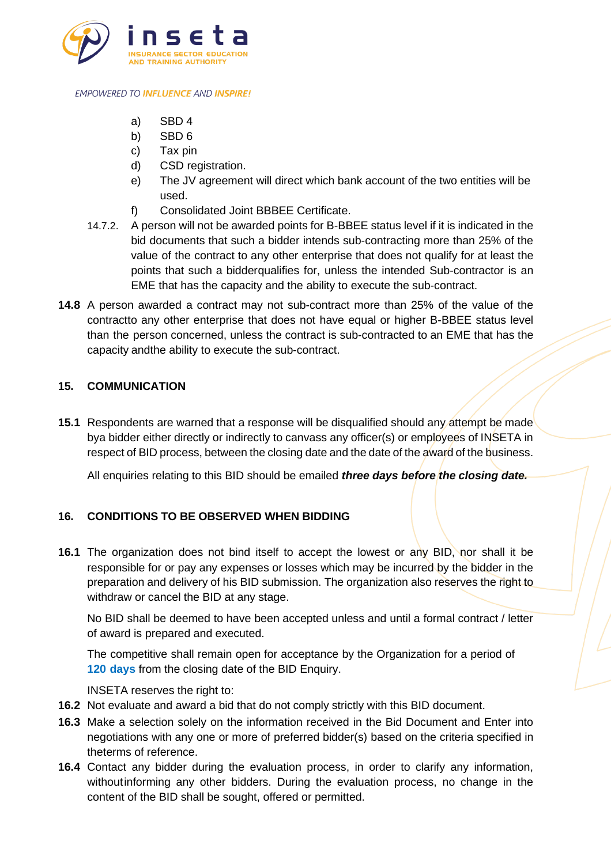

- a) SBD 4
- b) SBD 6
- c) Tax pin
- d) CSD registration.
- e) The JV agreement will direct which bank account of the two entities will be used.
- f) Consolidated Joint BBBEE Certificate.
- 14.7.2. A person will not be awarded points for B-BBEE status level if it is indicated in the bid documents that such a bidder intends sub-contracting more than 25% of the value of the contract to any other enterprise that does not qualify for at least the points that such a bidderqualifies for, unless the intended Sub-contractor is an EME that has the capacity and the ability to execute the sub-contract.
- **14.8** A person awarded a contract may not sub-contract more than 25% of the value of the contractto any other enterprise that does not have equal or higher B-BBEE status level than the person concerned, unless the contract is sub-contracted to an EME that has the capacity andthe ability to execute the sub-contract.

# **15. COMMUNICATION**

**15.1** Respondents are warned that a response will be disqualified should any attempt be made bya bidder either directly or indirectly to canvass any officer(s) or employees of INSETA in respect of BID process, between the closing date and the date of the award of the business.

All enquiries relating to this BID should be emailed *three days before the closing date.*

# **16. CONDITIONS TO BE OBSERVED WHEN BIDDING**

**16.1** The organization does not bind itself to accept the lowest or any BID, nor shall it be responsible for or pay any expenses or losses which may be incurred by the bidder in the preparation and delivery of his BID submission. The organization also reserves the right to withdraw or cancel the BID at any stage.

No BID shall be deemed to have been accepted unless and until a formal contract / letter of award is prepared and executed.

The competitive shall remain open for acceptance by the Organization for a period of **120 days** from the closing date of the BID Enquiry.

INSETA reserves the right to:

- **16.2** Not evaluate and award a bid that do not comply strictly with this BID document.
- **16.3** Make a selection solely on the information received in the Bid Document and Enter into negotiations with any one or more of preferred bidder(s) based on the criteria specified in theterms of reference.
- **16.4** Contact any bidder during the evaluation process, in order to clarify any information, withoutinforming any other bidders. During the evaluation process, no change in the content of the BID shall be sought, offered or permitted.